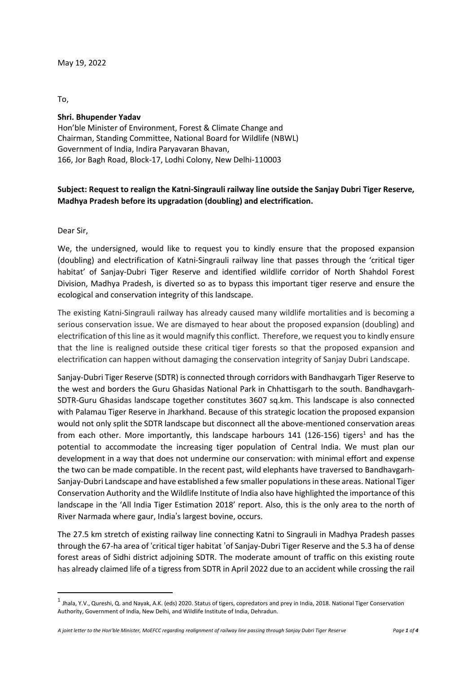## To,

## **Shri. Bhupender Yadav**

Hon'ble Minister of Environment, Forest & Climate Change and Chairman, Standing Committee, National Board for Wildlife (NBWL) Government of India, Indira Paryavaran Bhavan, 166, Jor Bagh Road, Block-17, Lodhi Colony, New Delhi-110003

# **Subject: Request to realign the Katni-Singrauli railway line outside the Sanjay Dubri Tiger Reserve, Madhya Pradesh before its upgradation (doubling) and electrification.**

Dear Sir,

We, the undersigned, would like to request you to kindly ensure that the proposed expansion (doubling) and electrification of Katni-Singrauli railway line that passes through the 'critical tiger habitat' of Sanjay-Dubri Tiger Reserve and identified wildlife corridor of North Shahdol Forest Division, Madhya Pradesh, is diverted so as to bypass this important tiger reserve and ensure the ecological and conservation integrity of this landscape.

The existing Katni-Singrauli railway has already caused many wildlife mortalities and is becoming a serious conservation issue. We are dismayed to hear about the proposed expansion (doubling) and electrification of this line as it would magnify this conflict. Therefore, we request you to kindly ensure that the line is realigned outside these critical tiger forests so that the proposed expansion and electrification can happen without damaging the conservation integrity of Sanjay Dubri Landscape.

Sanjay-Dubri Tiger Reserve (SDTR) is connected through corridors with Bandhavgarh Tiger Reserve to the west and borders the Guru Ghasidas National Park in Chhattisgarh to the south. Bandhavgarh-SDTR-Guru Ghasidas landscape together constitutes 3607 sq.km. This landscape is also connected with Palamau Tiger Reserve in Jharkhand. Because of this strategic location the proposed expansion would not only split the SDTR landscape but disconnect all the above-mentioned conservation areas from each other. More importantly, this landscape harbours  $141$  (126-156) tigers<sup>1</sup> and has the potential to accommodate the increasing tiger population of Central India. We must plan our development in a way that does not undermine our conservation: with minimal effort and expense the two can be made compatible. In the recent past, wild elephants have traversed to Bandhavgarh-Sanjay-Dubri Landscape and have established a few smaller populationsin these areas. National Tiger Conservation Authority and the Wildlife Institute of India also have highlighted the importance of this landscape in the 'All India Tiger Estimation 2018' report. Also, this is the only area to the north of River Narmada where gaur, India's largest bovine, occurs.

The 27.5 km stretch of existing railway line connecting Katni to Singrauli in Madhya Pradesh passes through the 67-ha area of 'critical tiger habitat 'of Sanjay-Dubri Tiger Reserve and the 5.3 ha of dense forest areas of Sidhi district adjoining SDTR. The moderate amount of traffic on this existing route has already claimed life of a tigress from SDTR in April 2022 due to an accident while crossing the rail

<sup>&</sup>lt;sup>1</sup> Jhala, Y.V., Qureshi, Q. and Nayak, A.K. (eds) 2020. Status of tigers, copredators and prey in India, 2018. National Tiger Conservation Authority, Government of India, New Delhi, and Wildlife Institute of India, Dehradun.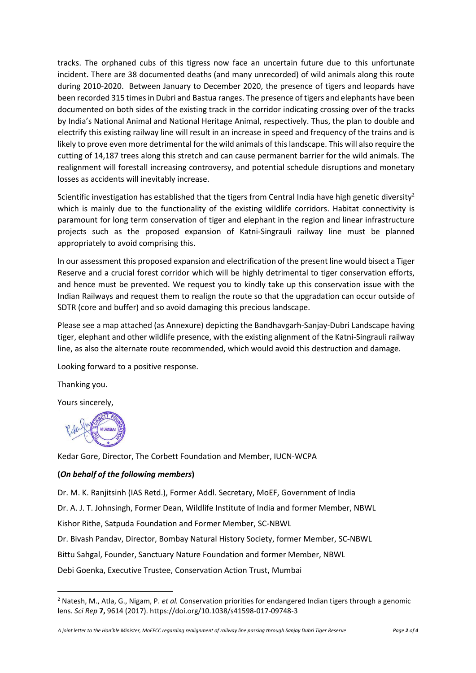tracks. The orphaned cubs of this tigress now face an uncertain future due to this unfortunate incident. There are 38 documented deaths (and many unrecorded) of wild animals along this route during 2010-2020. Between January to December 2020, the presence of tigers and leopards have been recorded 315 times in Dubri and Bastua ranges. The presence of tigers and elephants have been documented on both sides of the existing track in the corridor indicating crossing over of the tracks by India's National Animal and National Heritage Animal, respectively. Thus, the plan to double and electrify this existing railway line will result in an increase in speed and frequency of the trains and is likely to prove even more detrimental for the wild animals of this landscape. This will also require the cutting of 14,187 trees along this stretch and can cause permanent barrier for the wild animals. The realignment will forestall increasing controversy, and potential schedule disruptions and monetary losses as accidents will inevitably increase.

Scientific investigation has established that the tigers from Central India have high genetic diversity<sup>2</sup> which is mainly due to the functionality of the existing wildlife corridors. Habitat connectivity is paramount for long term conservation of tiger and elephant in the region and linear infrastructure projects such as the proposed expansion of Katni-Singrauli railway line must be planned appropriately to avoid comprising this.

In our assessment this proposed expansion and electrification of the present line would bisect a Tiger Reserve and a crucial forest corridor which will be highly detrimental to tiger conservation efforts, and hence must be prevented. We request you to kindly take up this conservation issue with the Indian Railways and request them to realign the route so that the upgradation can occur outside of SDTR (core and buffer) and so avoid damaging this precious landscape.

Please see a map attached (as Annexure) depicting the Bandhavgarh-Sanjay-Dubri Landscape having tiger, elephant and other wildlife presence, with the existing alignment of the Katni-Singrauli railway line, as also the alternate route recommended, which would avoid this destruction and damage.

Looking forward to a positive response.

Thanking you.

Yours sincerely,



Kedar Gore, Director, The Corbett Foundation and Member, IUCN-WCPA

# **(***On behalf of the following members***)**

Dr. M. K. Ranjitsinh (IAS Retd.), Former Addl. Secretary, MoEF, Government of India

Dr. A. J. T. Johnsingh, Former Dean, Wildlife Institute of India and former Member, NBWL

Kishor Rithe, Satpuda Foundation and Former Member, SC-NBWL

Dr. Bivash Pandav, Director, Bombay Natural History Society, former Member, SC-NBWL

Bittu Sahgal, Founder, Sanctuary Nature Foundation and former Member, NBWL

Debi Goenka, Executive Trustee, Conservation Action Trust, Mumbai

<sup>2</sup> Natesh, M., Atla, G., Nigam, P. *et al.* Conservation priorities for endangered Indian tigers through a genomic lens. *Sci Rep* **7,** 9614 (2017). https://doi.org/10.1038/s41598-017-09748-3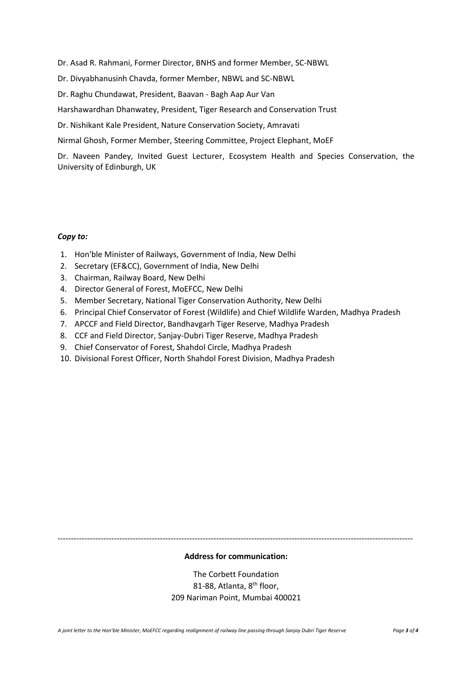Dr. Asad R. Rahmani, Former Director, BNHS and former Member, SC-NBWL

Dr. Divyabhanusinh Chavda, former Member, NBWL and SC-NBWL

Dr. Raghu Chundawat, President, Baavan - Bagh Aap Aur Van

Harshawardhan Dhanwatey, President, Tiger Research and Conservation Trust

Dr. Nishikant Kale President, Nature Conservation Society, Amravati

Nirmal Ghosh, Former Member, Steering Committee, Project Elephant, MoEF

Dr. Naveen Pandey, Invited Guest Lecturer, Ecosystem Health and Species Conservation, the University of Edinburgh, UK

#### *Copy to:*

- 1. Hon'ble Minister of Railways, Government of India, New Delhi
- 2. Secretary (EF&CC), Government of India, New Delhi
- 3. Chairman, Railway Board, New Delhi
- 4. Director General of Forest, MoEFCC, New Delhi
- 5. Member Secretary, National Tiger Conservation Authority, New Delhi
- 6. Principal Chief Conservator of Forest (Wildlife) and Chief Wildlife Warden, Madhya Pradesh
- 7. APCCF and Field Director, Bandhavgarh Tiger Reserve, Madhya Pradesh
- 8. CCF and Field Director, Sanjay-Dubri Tiger Reserve, Madhya Pradesh
- 9. Chief Conservator of Forest, Shahdol Circle, Madhya Pradesh
- 10. Divisional Forest Officer, North Shahdol Forest Division, Madhya Pradesh

------------------------------------------------------------------------------------------------------------------------------------

## **Address for communication:**

The Corbett Foundation 81-88, Atlanta, 8<sup>th</sup> floor, 209 Nariman Point, Mumbai 400021